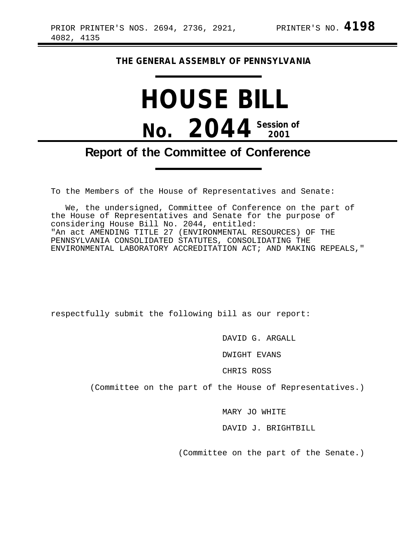## **THE GENERAL ASSEMBLY OF PENNSYLVANIA**

## **HOUSE BILL No. 2044 Session of 2001**

## **Report of the Committee of Conference**

To the Members of the House of Representatives and Senate:

We, the undersigned, Committee of Conference on the part of the House of Representatives and Senate for the purpose of considering House Bill No. 2044, entitled: "An act AMENDING TITLE 27 (ENVIRONMENTAL RESOURCES) OF THE PENNSYLVANIA CONSOLIDATED STATUTES, CONSOLIDATING THE ENVIRONMENTAL LABORATORY ACCREDITATION ACT; AND MAKING REPEALS,"

respectfully submit the following bill as our report:

DAVID G. ARGALL

DWIGHT EVANS

CHRIS ROSS

(Committee on the part of the House of Representatives.)

MARY JO WHITE

DAVID J. BRIGHTBILL

(Committee on the part of the Senate.)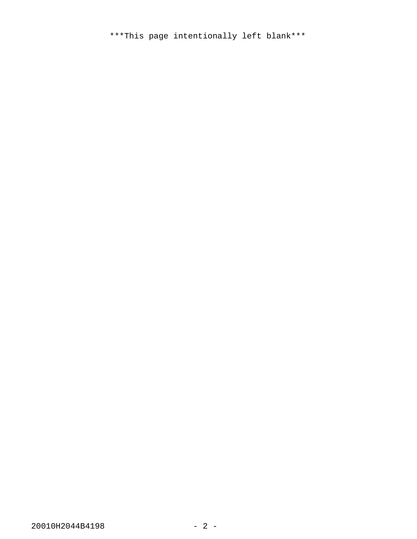\*\*\*This page intentionally left blank\*\*\*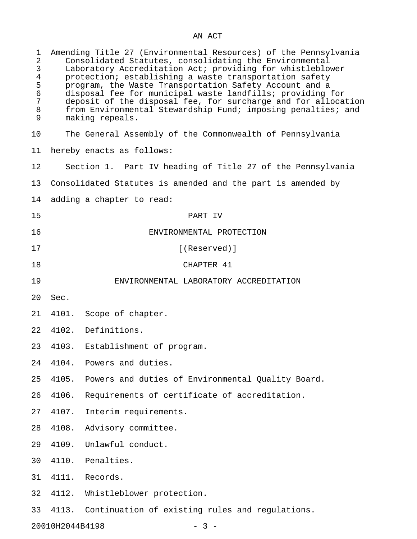## AN ACT

| $\mathbf 1$<br>$\sqrt{2}$<br>3<br>$\overline{4}$<br>5<br>$\epsilon$<br>$\overline{7}$<br>$\,8\,$<br>9 |       | Amending Title 27 (Environmental Resources) of the Pennsylvania<br>Consolidated Statutes, consolidating the Environmental<br>Laboratory Accreditation Act; providing for whistleblower<br>protection; establishing a waste transportation safety<br>program, the Waste Transportation Safety Account and a<br>disposal fee for municipal waste landfills; providing for<br>deposit of the disposal fee, for surcharge and for allocation<br>from Environmental Stewardship Fund; imposing penalties; and<br>making repeals. |
|-------------------------------------------------------------------------------------------------------|-------|-----------------------------------------------------------------------------------------------------------------------------------------------------------------------------------------------------------------------------------------------------------------------------------------------------------------------------------------------------------------------------------------------------------------------------------------------------------------------------------------------------------------------------|
| 10                                                                                                    |       | The General Assembly of the Commonwealth of Pennsylvania                                                                                                                                                                                                                                                                                                                                                                                                                                                                    |
| 11                                                                                                    |       | hereby enacts as follows:                                                                                                                                                                                                                                                                                                                                                                                                                                                                                                   |
| 12                                                                                                    |       | Section 1. Part IV heading of Title 27 of the Pennsylvania                                                                                                                                                                                                                                                                                                                                                                                                                                                                  |
| 13                                                                                                    |       | Consolidated Statutes is amended and the part is amended by                                                                                                                                                                                                                                                                                                                                                                                                                                                                 |
| 14                                                                                                    |       | adding a chapter to read:                                                                                                                                                                                                                                                                                                                                                                                                                                                                                                   |
| 15                                                                                                    |       | PART IV                                                                                                                                                                                                                                                                                                                                                                                                                                                                                                                     |
| 16                                                                                                    |       | ENVIRONMENTAL PROTECTION                                                                                                                                                                                                                                                                                                                                                                                                                                                                                                    |
| 17                                                                                                    |       | [(Reserved)]                                                                                                                                                                                                                                                                                                                                                                                                                                                                                                                |
| 18                                                                                                    |       | CHAPTER 41                                                                                                                                                                                                                                                                                                                                                                                                                                                                                                                  |
| 19                                                                                                    |       | ENVIRONMENTAL LABORATORY ACCREDITATION                                                                                                                                                                                                                                                                                                                                                                                                                                                                                      |
| 20                                                                                                    | Sec.  |                                                                                                                                                                                                                                                                                                                                                                                                                                                                                                                             |
| 21                                                                                                    |       | 4101. Scope of chapter.                                                                                                                                                                                                                                                                                                                                                                                                                                                                                                     |
| 22                                                                                                    |       | 4102. Definitions.                                                                                                                                                                                                                                                                                                                                                                                                                                                                                                          |
| 23                                                                                                    |       | 4103. Establishment of program.                                                                                                                                                                                                                                                                                                                                                                                                                                                                                             |
| 24                                                                                                    | 4104. | Powers and duties.                                                                                                                                                                                                                                                                                                                                                                                                                                                                                                          |
| 25                                                                                                    | 4105. | Powers and duties of Environmental Quality Board.                                                                                                                                                                                                                                                                                                                                                                                                                                                                           |
| 26                                                                                                    | 4106. | Requirements of certificate of accreditation.                                                                                                                                                                                                                                                                                                                                                                                                                                                                               |
| 27                                                                                                    | 4107. | Interim requirements.                                                                                                                                                                                                                                                                                                                                                                                                                                                                                                       |
| 28                                                                                                    | 4108. | Advisory committee.                                                                                                                                                                                                                                                                                                                                                                                                                                                                                                         |
| 29                                                                                                    | 4109. | Unlawful conduct.                                                                                                                                                                                                                                                                                                                                                                                                                                                                                                           |
| 30                                                                                                    | 4110. | Penalties.                                                                                                                                                                                                                                                                                                                                                                                                                                                                                                                  |
| 31                                                                                                    | 4111. | Records.                                                                                                                                                                                                                                                                                                                                                                                                                                                                                                                    |
| 32                                                                                                    | 4112. | Whistleblower protection.                                                                                                                                                                                                                                                                                                                                                                                                                                                                                                   |
| 33                                                                                                    | 4113. | Continuation of existing rules and regulations.                                                                                                                                                                                                                                                                                                                                                                                                                                                                             |
|                                                                                                       |       |                                                                                                                                                                                                                                                                                                                                                                                                                                                                                                                             |

20010H2044B4198 - 3 -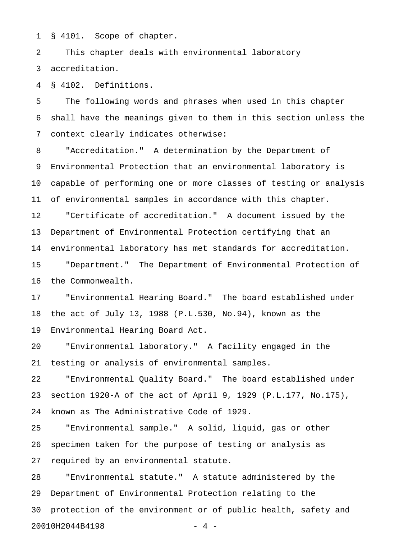1 § 4101. Scope of chapter.

2 This chapter deals with environmental laboratory 3 accreditation.

4 § 4102. Definitions.

5 The following words and phrases when used in this chapter 6 shall have the meanings given to them in this section unless the 7 context clearly indicates otherwise:

8 "Accreditation." A determination by the Department of 9 Environmental Protection that an environmental laboratory is 10 capable of performing one or more classes of testing or analysis 11 of environmental samples in accordance with this chapter. 12 "Certificate of accreditation." A document issued by the 13 Department of Environmental Protection certifying that an 14 environmental laboratory has met standards for accreditation. 15 "Department." The Department of Environmental Protection of 16 the Commonwealth.

17 "Environmental Hearing Board." The board established under 18 the act of July 13, 1988 (P.L.530, No.94), known as the 19 Environmental Hearing Board Act.

20 "Environmental laboratory." A facility engaged in the 21 testing or analysis of environmental samples.

22 "Environmental Quality Board." The board established under 23 section 1920-A of the act of April 9, 1929 (P.L.177, No.175), 24 known as The Administrative Code of 1929.

25 "Environmental sample." A solid, liquid, gas or other 26 specimen taken for the purpose of testing or analysis as 27 required by an environmental statute.

28 "Environmental statute." A statute administered by the 29 Department of Environmental Protection relating to the 30 protection of the environment or of public health, safety and 20010H2044B4198 - 4 -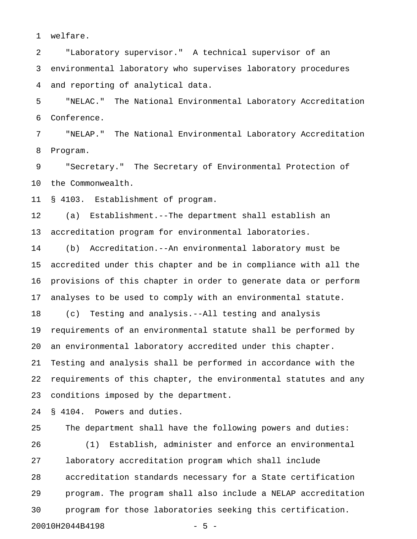1 welfare.

2 "Laboratory supervisor." A technical supervisor of an 3 environmental laboratory who supervises laboratory procedures 4 and reporting of analytical data.

5 "NELAC." The National Environmental Laboratory Accreditation 6 Conference.

7 "NELAP." The National Environmental Laboratory Accreditation 8 Program.

9 "Secretary." The Secretary of Environmental Protection of 10 the Commonwealth.

11 § 4103. Establishment of program.

12 (a) Establishment.--The department shall establish an 13 accreditation program for environmental laboratories.

14 (b) Accreditation.--An environmental laboratory must be 15 accredited under this chapter and be in compliance with all the 16 provisions of this chapter in order to generate data or perform 17 analyses to be used to comply with an environmental statute. 18 (c) Testing and analysis.--All testing and analysis 19 requirements of an environmental statute shall be performed by 20 an environmental laboratory accredited under this chapter. 21 Testing and analysis shall be performed in accordance with the 22 requirements of this chapter, the environmental statutes and any

23 conditions imposed by the department.

24 § 4104. Powers and duties.

25 The department shall have the following powers and duties: 26 (1) Establish, administer and enforce an environmental 27 laboratory accreditation program which shall include 28 accreditation standards necessary for a State certification 29 program. The program shall also include a NELAP accreditation 30 program for those laboratories seeking this certification. 20010H2044B4198 - 5 -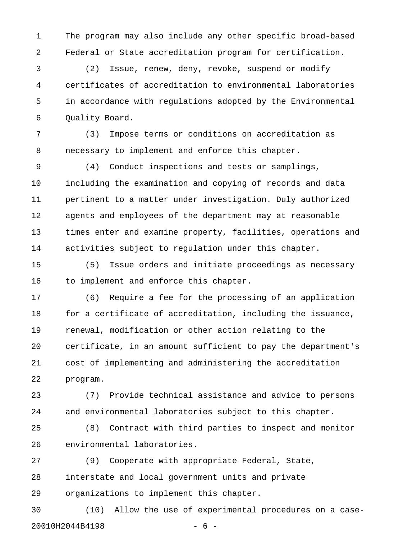1 The program may also include any other specific broad-based 2 Federal or State accreditation program for certification.

3 (2) Issue, renew, deny, revoke, suspend or modify 4 certificates of accreditation to environmental laboratories 5 in accordance with regulations adopted by the Environmental 6 Quality Board.

7 (3) Impose terms or conditions on accreditation as 8 necessary to implement and enforce this chapter.

9 (4) Conduct inspections and tests or samplings, 10 including the examination and copying of records and data 11 pertinent to a matter under investigation. Duly authorized 12 agents and employees of the department may at reasonable 13 times enter and examine property, facilities, operations and 14 activities subject to regulation under this chapter.

15 (5) Issue orders and initiate proceedings as necessary 16 to implement and enforce this chapter.

17 (6) Require a fee for the processing of an application 18 for a certificate of accreditation, including the issuance, 19 renewal, modification or other action relating to the 20 certificate, in an amount sufficient to pay the department's 21 cost of implementing and administering the accreditation 22 program.

23 (7) Provide technical assistance and advice to persons 24 and environmental laboratories subject to this chapter.

25 (8) Contract with third parties to inspect and monitor 26 environmental laboratories.

27 (9) Cooperate with appropriate Federal, State, 28 interstate and local government units and private 29 organizations to implement this chapter.

30 (10) Allow the use of experimental procedures on a case-20010H2044B4198 - 6 -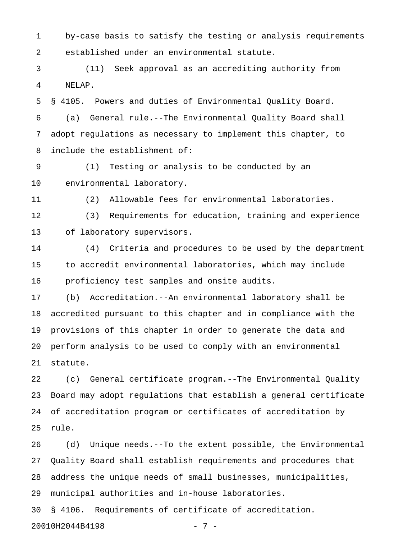1 by-case basis to satisfy the testing or analysis requirements 2 established under an environmental statute.

3 (11) Seek approval as an accrediting authority from 4 NELAP.

5 § 4105. Powers and duties of Environmental Quality Board.

6 (a) General rule.--The Environmental Quality Board shall 7 adopt regulations as necessary to implement this chapter, to 8 include the establishment of:

9 (1) Testing or analysis to be conducted by an 10 environmental laboratory.

11 (2) Allowable fees for environmental laboratories.

12 (3) Requirements for education, training and experience 13 of laboratory supervisors.

14 (4) Criteria and procedures to be used by the department 15 to accredit environmental laboratories, which may include 16 proficiency test samples and onsite audits.

17 (b) Accreditation.--An environmental laboratory shall be 18 accredited pursuant to this chapter and in compliance with the 19 provisions of this chapter in order to generate the data and 20 perform analysis to be used to comply with an environmental 21 statute.

22 (c) General certificate program.--The Environmental Quality 23 Board may adopt regulations that establish a general certificate 24 of accreditation program or certificates of accreditation by 25 rule.

26 (d) Unique needs.--To the extent possible, the Environmental 27 Quality Board shall establish requirements and procedures that 28 address the unique needs of small businesses, municipalities, 29 municipal authorities and in-house laboratories.

30 § 4106. Requirements of certificate of accreditation.

20010H2044B4198 - 7 -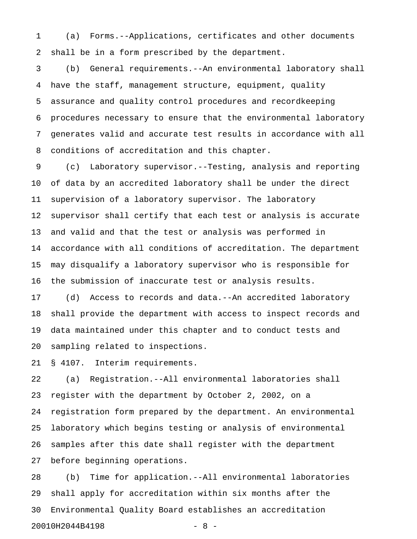1 (a) Forms.--Applications, certificates and other documents 2 shall be in a form prescribed by the department.

3 (b) General requirements.--An environmental laboratory shall 4 have the staff, management structure, equipment, quality 5 assurance and quality control procedures and recordkeeping 6 procedures necessary to ensure that the environmental laboratory 7 generates valid and accurate test results in accordance with all 8 conditions of accreditation and this chapter.

9 (c) Laboratory supervisor.--Testing, analysis and reporting 10 of data by an accredited laboratory shall be under the direct 11 supervision of a laboratory supervisor. The laboratory 12 supervisor shall certify that each test or analysis is accurate 13 and valid and that the test or analysis was performed in 14 accordance with all conditions of accreditation. The department 15 may disqualify a laboratory supervisor who is responsible for 16 the submission of inaccurate test or analysis results.

17 (d) Access to records and data.--An accredited laboratory 18 shall provide the department with access to inspect records and 19 data maintained under this chapter and to conduct tests and 20 sampling related to inspections.

21 § 4107. Interim requirements.

22 (a) Registration.--All environmental laboratories shall 23 register with the department by October 2, 2002, on a 24 registration form prepared by the department. An environmental 25 laboratory which begins testing or analysis of environmental 26 samples after this date shall register with the department 27 before beginning operations.

28 (b) Time for application.--All environmental laboratories 29 shall apply for accreditation within six months after the 30 Environmental Quality Board establishes an accreditation 20010H2044B4198 - 8 -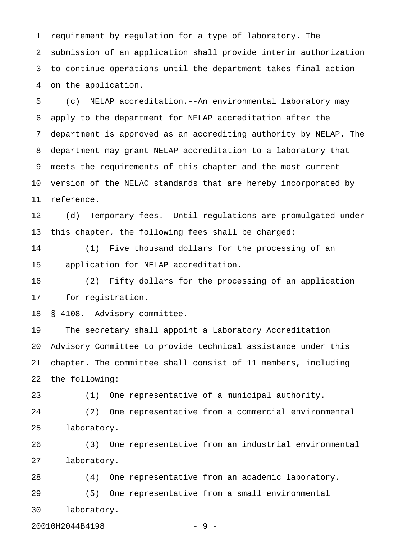1 requirement by regulation for a type of laboratory. The 2 submission of an application shall provide interim authorization 3 to continue operations until the department takes final action 4 on the application.

5 (c) NELAP accreditation.--An environmental laboratory may 6 apply to the department for NELAP accreditation after the 7 department is approved as an accrediting authority by NELAP. The 8 department may grant NELAP accreditation to a laboratory that 9 meets the requirements of this chapter and the most current 10 version of the NELAC standards that are hereby incorporated by 11 reference.

12 (d) Temporary fees.--Until regulations are promulgated under 13 this chapter, the following fees shall be charged:

14 (1) Five thousand dollars for the processing of an 15 application for NELAP accreditation.

16 (2) Fifty dollars for the processing of an application 17 for registration.

18 § 4108. Advisory committee.

19 The secretary shall appoint a Laboratory Accreditation 20 Advisory Committee to provide technical assistance under this 21 chapter. The committee shall consist of 11 members, including 22 the following:

23 (1) One representative of a municipal authority.

24 (2) One representative from a commercial environmental 25 laboratory.

26 (3) One representative from an industrial environmental 27 laboratory.

28 (4) One representative from an academic laboratory. 29 (5) One representative from a small environmental 30 laboratory.

20010H2044B4198 - 9 -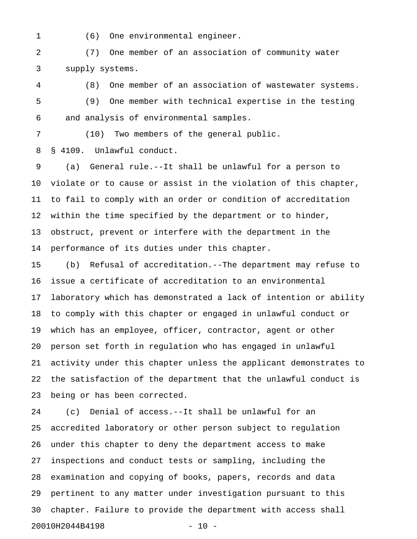1 (6) One environmental engineer.

2 (7) One member of an association of community water 3 supply systems.

4 (8) One member of an association of wastewater systems. 5 (9) One member with technical expertise in the testing 6 and analysis of environmental samples.

7 (10) Two members of the general public.

8 § 4109. Unlawful conduct.

9 (a) General rule.--It shall be unlawful for a person to 10 violate or to cause or assist in the violation of this chapter, 11 to fail to comply with an order or condition of accreditation 12 within the time specified by the department or to hinder, 13 obstruct, prevent or interfere with the department in the 14 performance of its duties under this chapter.

15 (b) Refusal of accreditation.--The department may refuse to 16 issue a certificate of accreditation to an environmental 17 laboratory which has demonstrated a lack of intention or ability 18 to comply with this chapter or engaged in unlawful conduct or 19 which has an employee, officer, contractor, agent or other 20 person set forth in regulation who has engaged in unlawful 21 activity under this chapter unless the applicant demonstrates to 22 the satisfaction of the department that the unlawful conduct is 23 being or has been corrected.

24 (c) Denial of access.--It shall be unlawful for an 25 accredited laboratory or other person subject to regulation 26 under this chapter to deny the department access to make 27 inspections and conduct tests or sampling, including the 28 examination and copying of books, papers, records and data 29 pertinent to any matter under investigation pursuant to this 30 chapter. Failure to provide the department with access shall 20010H2044B4198 - 10 -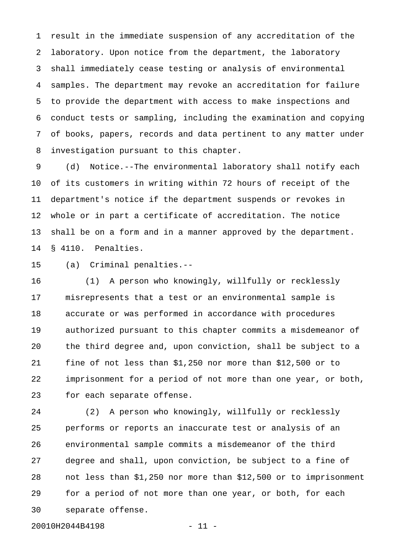1 result in the immediate suspension of any accreditation of the 2 laboratory. Upon notice from the department, the laboratory 3 shall immediately cease testing or analysis of environmental 4 samples. The department may revoke an accreditation for failure 5 to provide the department with access to make inspections and 6 conduct tests or sampling, including the examination and copying 7 of books, papers, records and data pertinent to any matter under 8 investigation pursuant to this chapter.

9 (d) Notice.--The environmental laboratory shall notify each 10 of its customers in writing within 72 hours of receipt of the 11 department's notice if the department suspends or revokes in 12 whole or in part a certificate of accreditation. The notice 13 shall be on a form and in a manner approved by the department. 14 § 4110. Penalties.

15 (a) Criminal penalties.--

16 (1) A person who knowingly, willfully or recklessly 17 misrepresents that a test or an environmental sample is 18 accurate or was performed in accordance with procedures 19 authorized pursuant to this chapter commits a misdemeanor of 20 the third degree and, upon conviction, shall be subject to a 21 fine of not less than \$1,250 nor more than \$12,500 or to 22 imprisonment for a period of not more than one year, or both, 23 for each separate offense.

24 (2) A person who knowingly, willfully or recklessly 25 performs or reports an inaccurate test or analysis of an 26 environmental sample commits a misdemeanor of the third 27 degree and shall, upon conviction, be subject to a fine of 28 not less than \$1,250 nor more than \$12,500 or to imprisonment 29 for a period of not more than one year, or both, for each 30 separate offense.

20010H2044B4198 - 11 -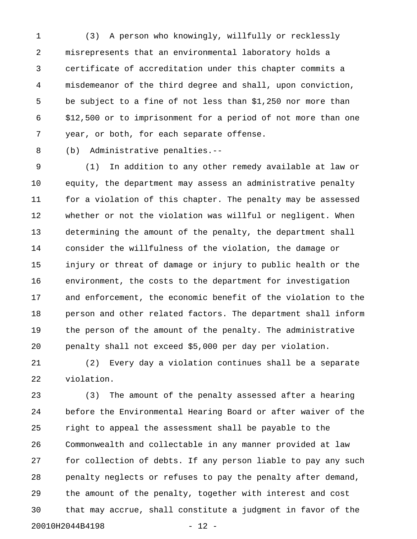1 (3) A person who knowingly, willfully or recklessly 2 misrepresents that an environmental laboratory holds a 3 certificate of accreditation under this chapter commits a 4 misdemeanor of the third degree and shall, upon conviction, 5 be subject to a fine of not less than \$1,250 nor more than 6 \$12,500 or to imprisonment for a period of not more than one 7 year, or both, for each separate offense.

8 (b) Administrative penalties.--

9 (1) In addition to any other remedy available at law or 10 equity, the department may assess an administrative penalty 11 for a violation of this chapter. The penalty may be assessed 12 whether or not the violation was willful or negligent. When 13 determining the amount of the penalty, the department shall 14 consider the willfulness of the violation, the damage or 15 injury or threat of damage or injury to public health or the 16 environment, the costs to the department for investigation 17 and enforcement, the economic benefit of the violation to the 18 person and other related factors. The department shall inform 19 the person of the amount of the penalty. The administrative 20 penalty shall not exceed \$5,000 per day per violation.

21 (2) Every day a violation continues shall be a separate 22 violation.

23 (3) The amount of the penalty assessed after a hearing 24 before the Environmental Hearing Board or after waiver of the 25 right to appeal the assessment shall be payable to the 26 Commonwealth and collectable in any manner provided at law 27 for collection of debts. If any person liable to pay any such 28 penalty neglects or refuses to pay the penalty after demand, 29 the amount of the penalty, together with interest and cost 30 that may accrue, shall constitute a judgment in favor of the 20010H2044B4198 - 12 -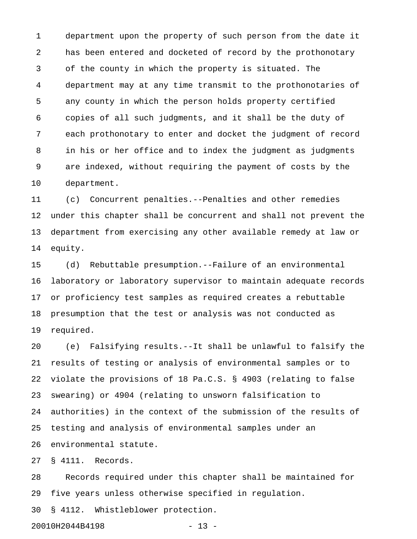1 department upon the property of such person from the date it 2 has been entered and docketed of record by the prothonotary 3 of the county in which the property is situated. The 4 department may at any time transmit to the prothonotaries of 5 any county in which the person holds property certified 6 copies of all such judgments, and it shall be the duty of 7 each prothonotary to enter and docket the judgment of record 8 in his or her office and to index the judgment as judgments 9 are indexed, without requiring the payment of costs by the 10 department.

11 (c) Concurrent penalties.--Penalties and other remedies 12 under this chapter shall be concurrent and shall not prevent the 13 department from exercising any other available remedy at law or 14 equity.

15 (d) Rebuttable presumption.--Failure of an environmental 16 laboratory or laboratory supervisor to maintain adequate records 17 or proficiency test samples as required creates a rebuttable 18 presumption that the test or analysis was not conducted as 19 required.

20 (e) Falsifying results.--It shall be unlawful to falsify the 21 results of testing or analysis of environmental samples or to 22 violate the provisions of 18 Pa.C.S. § 4903 (relating to false 23 swearing) or 4904 (relating to unsworn falsification to 24 authorities) in the context of the submission of the results of 25 testing and analysis of environmental samples under an 26 environmental statute.

27 § 4111. Records.

28 Records required under this chapter shall be maintained for 29 five years unless otherwise specified in regulation.

30 § 4112. Whistleblower protection.

20010H2044B4198 - 13 -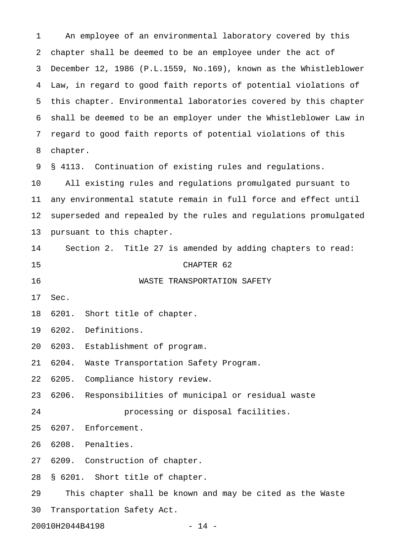1 An employee of an environmental laboratory covered by this 2 chapter shall be deemed to be an employee under the act of 3 December 12, 1986 (P.L.1559, No.169), known as the Whistleblower 4 Law, in regard to good faith reports of potential violations of 5 this chapter. Environmental laboratories covered by this chapter 6 shall be deemed to be an employer under the Whistleblower Law in 7 regard to good faith reports of potential violations of this 8 chapter.

9 § 4113. Continuation of existing rules and regulations.

10 All existing rules and regulations promulgated pursuant to 11 any environmental statute remain in full force and effect until 12 superseded and repealed by the rules and regulations promulgated 13 pursuant to this chapter.

14 Section 2. Title 27 is amended by adding chapters to read: 15 CHAPTER 62

16 WASTE TRANSPORTATION SAFETY

17 Sec.

18 6201. Short title of chapter.

19 6202. Definitions.

20 6203. Establishment of program.

21 6204. Waste Transportation Safety Program.

22 6205. Compliance history review.

23 6206. Responsibilities of municipal or residual waste 24 processing or disposal facilities.

25 6207. Enforcement.

26 6208. Penalties.

27 6209. Construction of chapter.

28 § 6201. Short title of chapter.

29 This chapter shall be known and may be cited as the Waste 30 Transportation Safety Act.

20010H2044B4198 - 14 -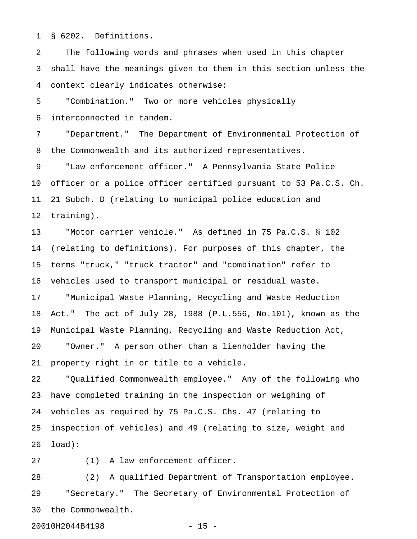1 § 6202. Definitions.

2 The following words and phrases when used in this chapter 3 shall have the meanings given to them in this section unless the 4 context clearly indicates otherwise:

5 "Combination." Two or more vehicles physically 6 interconnected in tandem.

7 "Department." The Department of Environmental Protection of 8 the Commonwealth and its authorized representatives.

9 "Law enforcement officer." A Pennsylvania State Police 10 officer or a police officer certified pursuant to 53 Pa.C.S. Ch. 11 21 Subch. D (relating to municipal police education and 12 training).

13 "Motor carrier vehicle." As defined in 75 Pa.C.S. § 102 14 (relating to definitions). For purposes of this chapter, the 15 terms "truck," "truck tractor" and "combination" refer to 16 vehicles used to transport municipal or residual waste.

17 "Municipal Waste Planning, Recycling and Waste Reduction 18 Act." The act of July 28, 1988 (P.L.556, No.101), known as the 19 Municipal Waste Planning, Recycling and Waste Reduction Act, 20 "Owner." A person other than a lienholder having the

21 property right in or title to a vehicle.

22 "Qualified Commonwealth employee." Any of the following who 23 have completed training in the inspection or weighing of 24 vehicles as required by 75 Pa.C.S. Chs. 47 (relating to 25 inspection of vehicles) and 49 (relating to size, weight and 26 load):

27 (1) A law enforcement officer.

28 (2) A qualified Department of Transportation employee. 29 "Secretary." The Secretary of Environmental Protection of 30 the Commonwealth.

20010H2044B4198 - 15 -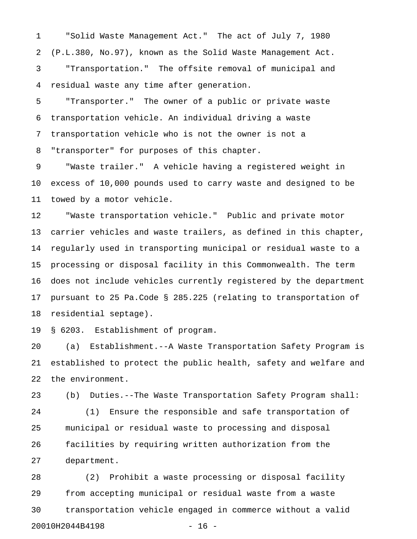1 "Solid Waste Management Act." The act of July 7, 1980 2 (P.L.380, No.97), known as the Solid Waste Management Act. 3 "Transportation." The offsite removal of municipal and 4 residual waste any time after generation.

5 "Transporter." The owner of a public or private waste 6 transportation vehicle. An individual driving a waste 7 transportation vehicle who is not the owner is not a 8 "transporter" for purposes of this chapter.

9 "Waste trailer." A vehicle having a registered weight in 10 excess of 10,000 pounds used to carry waste and designed to be 11 towed by a motor vehicle.

12 "Waste transportation vehicle." Public and private motor 13 carrier vehicles and waste trailers, as defined in this chapter, 14 regularly used in transporting municipal or residual waste to a 15 processing or disposal facility in this Commonwealth. The term 16 does not include vehicles currently registered by the department 17 pursuant to 25 Pa.Code § 285.225 (relating to transportation of 18 residential septage).

19 § 6203. Establishment of program.

20 (a) Establishment.--A Waste Transportation Safety Program is 21 established to protect the public health, safety and welfare and 22 the environment.

23 (b) Duties.--The Waste Transportation Safety Program shall: 24 (1) Ensure the responsible and safe transportation of 25 municipal or residual waste to processing and disposal 26 facilities by requiring written authorization from the 27 department.

28 (2) Prohibit a waste processing or disposal facility 29 from accepting municipal or residual waste from a waste 30 transportation vehicle engaged in commerce without a valid 20010H2044B4198 - 16 -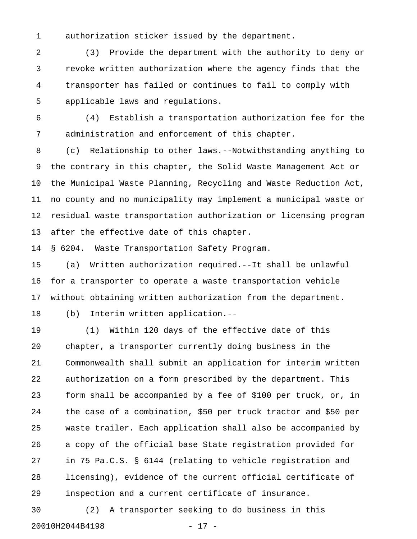1 authorization sticker issued by the department.

2 (3) Provide the department with the authority to deny or 3 revoke written authorization where the agency finds that the 4 transporter has failed or continues to fail to comply with 5 applicable laws and regulations.

6 (4) Establish a transportation authorization fee for the 7 administration and enforcement of this chapter.

8 (c) Relationship to other laws.--Notwithstanding anything to 9 the contrary in this chapter, the Solid Waste Management Act or 10 the Municipal Waste Planning, Recycling and Waste Reduction Act, 11 no county and no municipality may implement a municipal waste or 12 residual waste transportation authorization or licensing program 13 after the effective date of this chapter.

14 § 6204. Waste Transportation Safety Program.

15 (a) Written authorization required.--It shall be unlawful 16 for a transporter to operate a waste transportation vehicle 17 without obtaining written authorization from the department.

18 (b) Interim written application.--

19 (1) Within 120 days of the effective date of this 20 chapter, a transporter currently doing business in the 21 Commonwealth shall submit an application for interim written 22 authorization on a form prescribed by the department. This 23 form shall be accompanied by a fee of \$100 per truck, or, in 24 the case of a combination, \$50 per truck tractor and \$50 per 25 waste trailer. Each application shall also be accompanied by 26 a copy of the official base State registration provided for 27 in 75 Pa.C.S. § 6144 (relating to vehicle registration and 28 licensing), evidence of the current official certificate of 29 inspection and a current certificate of insurance.

30 (2) A transporter seeking to do business in this 20010H2044B4198 - 17 -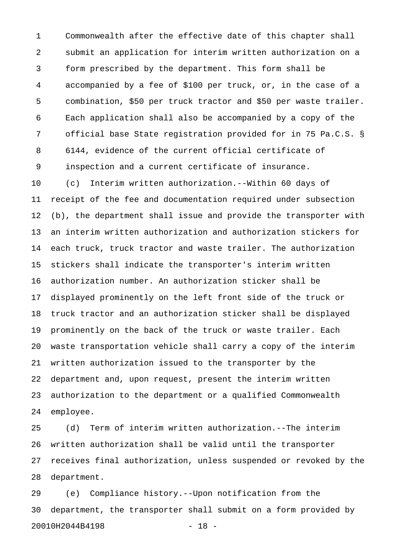1 Commonwealth after the effective date of this chapter shall 2 submit an application for interim written authorization on a 3 form prescribed by the department. This form shall be 4 accompanied by a fee of \$100 per truck, or, in the case of a 5 combination, \$50 per truck tractor and \$50 per waste trailer. 6 Each application shall also be accompanied by a copy of the 7 official base State registration provided for in 75 Pa.C.S. § 8 6144, evidence of the current official certificate of 9 inspection and a current certificate of insurance.

10 (c) Interim written authorization.--Within 60 days of 11 receipt of the fee and documentation required under subsection 12 (b), the department shall issue and provide the transporter with 13 an interim written authorization and authorization stickers for 14 each truck, truck tractor and waste trailer. The authorization 15 stickers shall indicate the transporter's interim written 16 authorization number. An authorization sticker shall be 17 displayed prominently on the left front side of the truck or 18 truck tractor and an authorization sticker shall be displayed 19 prominently on the back of the truck or waste trailer. Each 20 waste transportation vehicle shall carry a copy of the interim 21 written authorization issued to the transporter by the 22 department and, upon request, present the interim written 23 authorization to the department or a qualified Commonwealth 24 employee.

25 (d) Term of interim written authorization.--The interim 26 written authorization shall be valid until the transporter 27 receives final authorization, unless suspended or revoked by the 28 department.

29 (e) Compliance history.--Upon notification from the 30 department, the transporter shall submit on a form provided by 20010H2044B4198 - 18 -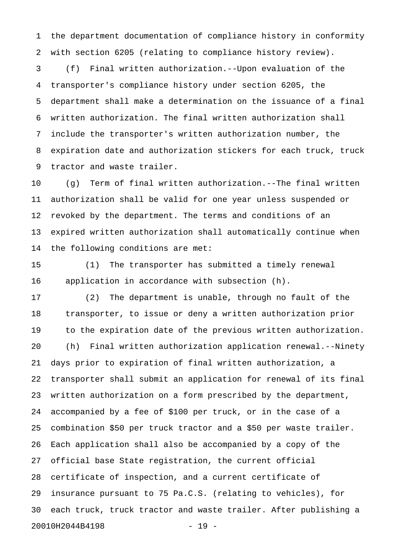1 the department documentation of compliance history in conformity 2 with section 6205 (relating to compliance history review).

3 (f) Final written authorization.--Upon evaluation of the 4 transporter's compliance history under section 6205, the 5 department shall make a determination on the issuance of a final 6 written authorization. The final written authorization shall 7 include the transporter's written authorization number, the 8 expiration date and authorization stickers for each truck, truck 9 tractor and waste trailer.

10 (g) Term of final written authorization.--The final written 11 authorization shall be valid for one year unless suspended or 12 revoked by the department. The terms and conditions of an 13 expired written authorization shall automatically continue when 14 the following conditions are met:

15 (1) The transporter has submitted a timely renewal 16 application in accordance with subsection (h).

17 (2) The department is unable, through no fault of the 18 transporter, to issue or deny a written authorization prior 19 to the expiration date of the previous written authorization. 20 (h) Final written authorization application renewal.--Ninety 21 days prior to expiration of final written authorization, a 22 transporter shall submit an application for renewal of its final 23 written authorization on a form prescribed by the department, 24 accompanied by a fee of \$100 per truck, or in the case of a 25 combination \$50 per truck tractor and a \$50 per waste trailer. 26 Each application shall also be accompanied by a copy of the 27 official base State registration, the current official 28 certificate of inspection, and a current certificate of 29 insurance pursuant to 75 Pa.C.S. (relating to vehicles), for 30 each truck, truck tractor and waste trailer. After publishing a 20010H2044B4198 - 19 -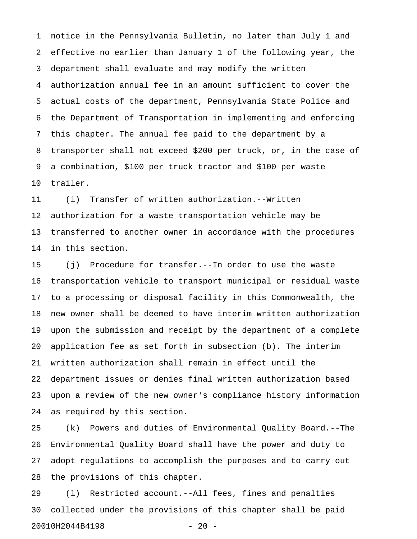1 notice in the Pennsylvania Bulletin, no later than July 1 and 2 effective no earlier than January 1 of the following year, the 3 department shall evaluate and may modify the written 4 authorization annual fee in an amount sufficient to cover the 5 actual costs of the department, Pennsylvania State Police and 6 the Department of Transportation in implementing and enforcing 7 this chapter. The annual fee paid to the department by a 8 transporter shall not exceed \$200 per truck, or, in the case of 9 a combination, \$100 per truck tractor and \$100 per waste 10 trailer.

11 (i) Transfer of written authorization.--Written 12 authorization for a waste transportation vehicle may be 13 transferred to another owner in accordance with the procedures 14 in this section.

15 (j) Procedure for transfer.--In order to use the waste 16 transportation vehicle to transport municipal or residual waste 17 to a processing or disposal facility in this Commonwealth, the 18 new owner shall be deemed to have interim written authorization 19 upon the submission and receipt by the department of a complete 20 application fee as set forth in subsection (b). The interim 21 written authorization shall remain in effect until the 22 department issues or denies final written authorization based 23 upon a review of the new owner's compliance history information 24 as required by this section.

25 (k) Powers and duties of Environmental Quality Board.--The 26 Environmental Quality Board shall have the power and duty to 27 adopt regulations to accomplish the purposes and to carry out 28 the provisions of this chapter.

29 (l) Restricted account.--All fees, fines and penalties 30 collected under the provisions of this chapter shall be paid 20010H2044B4198 - 20 -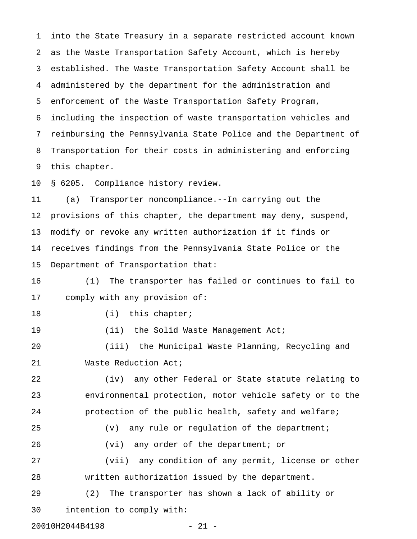1 into the State Treasury in a separate restricted account known 2 as the Waste Transportation Safety Account, which is hereby 3 established. The Waste Transportation Safety Account shall be 4 administered by the department for the administration and 5 enforcement of the Waste Transportation Safety Program, 6 including the inspection of waste transportation vehicles and 7 reimbursing the Pennsylvania State Police and the Department of 8 Transportation for their costs in administering and enforcing 9 this chapter.

10 § 6205. Compliance history review.

11 (a) Transporter noncompliance.--In carrying out the 12 provisions of this chapter, the department may deny, suspend, 13 modify or revoke any written authorization if it finds or 14 receives findings from the Pennsylvania State Police or the 15 Department of Transportation that:

16 (1) The transporter has failed or continues to fail to 17 comply with any provision of:

18 (i) this chapter;

19 (ii) the Solid Waste Management Act;

20 (iii) the Municipal Waste Planning, Recycling and 21 Waste Reduction Act;

22 (iv) any other Federal or State statute relating to 23 environmental protection, motor vehicle safety or to the 24 protection of the public health, safety and welfare;

25 (v) any rule or regulation of the department; 26 (vi) any order of the department; or

27 (vii) any condition of any permit, license or other 28 written authorization issued by the department.

29 (2) The transporter has shown a lack of ability or 30 intention to comply with:

20010H2044B4198 - 21 -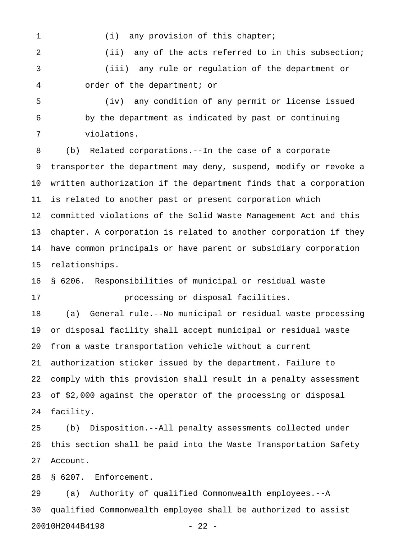- 
- 1 (i) any provision of this chapter;

2 (ii) any of the acts referred to in this subsection; 3 (iii) any rule or regulation of the department or 4 order of the department; or

5 (iv) any condition of any permit or license issued 6 by the department as indicated by past or continuing 7 violations.

8 (b) Related corporations.--In the case of a corporate 9 transporter the department may deny, suspend, modify or revoke a 10 written authorization if the department finds that a corporation 11 is related to another past or present corporation which 12 committed violations of the Solid Waste Management Act and this 13 chapter. A corporation is related to another corporation if they 14 have common principals or have parent or subsidiary corporation 15 relationships.

16 § 6206. Responsibilities of municipal or residual waste 17 processing or disposal facilities.

18 (a) General rule.--No municipal or residual waste processing 19 or disposal facility shall accept municipal or residual waste 20 from a waste transportation vehicle without a current 21 authorization sticker issued by the department. Failure to 22 comply with this provision shall result in a penalty assessment 23 of \$2,000 against the operator of the processing or disposal 24 facility.

25 (b) Disposition.--All penalty assessments collected under 26 this section shall be paid into the Waste Transportation Safety 27 Account.

28 § 6207. Enforcement.

29 (a) Authority of qualified Commonwealth employees.--A 30 qualified Commonwealth employee shall be authorized to assist 20010H2044B4198 - 22 -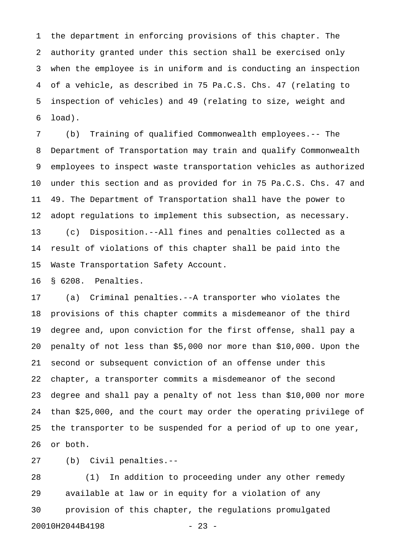1 the department in enforcing provisions of this chapter. The 2 authority granted under this section shall be exercised only 3 when the employee is in uniform and is conducting an inspection 4 of a vehicle, as described in 75 Pa.C.S. Chs. 47 (relating to 5 inspection of vehicles) and 49 (relating to size, weight and 6 load).

7 (b) Training of qualified Commonwealth employees.-- The 8 Department of Transportation may train and qualify Commonwealth 9 employees to inspect waste transportation vehicles as authorized 10 under this section and as provided for in 75 Pa.C.S. Chs. 47 and 11 49. The Department of Transportation shall have the power to 12 adopt regulations to implement this subsection, as necessary. 13 (c) Disposition.--All fines and penalties collected as a 14 result of violations of this chapter shall be paid into the 15 Waste Transportation Safety Account.

16 § 6208. Penalties.

17 (a) Criminal penalties.--A transporter who violates the 18 provisions of this chapter commits a misdemeanor of the third 19 degree and, upon conviction for the first offense, shall pay a 20 penalty of not less than \$5,000 nor more than \$10,000. Upon the 21 second or subsequent conviction of an offense under this 22 chapter, a transporter commits a misdemeanor of the second 23 degree and shall pay a penalty of not less than \$10,000 nor more 24 than \$25,000, and the court may order the operating privilege of 25 the transporter to be suspended for a period of up to one year, 26 or both.

27 (b) Civil penalties.--

28 (1) In addition to proceeding under any other remedy 29 available at law or in equity for a violation of any 30 provision of this chapter, the regulations promulgated 20010H2044B4198 - 23 -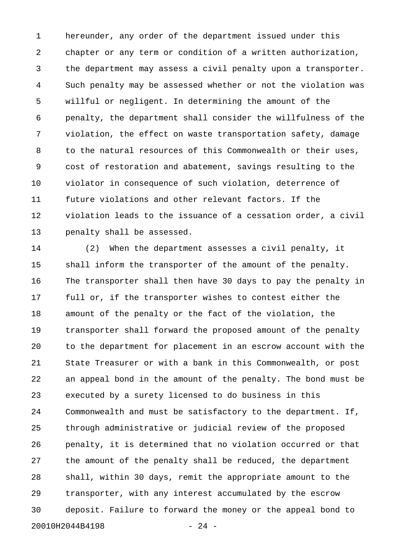1 hereunder, any order of the department issued under this 2 chapter or any term or condition of a written authorization, 3 the department may assess a civil penalty upon a transporter. 4 Such penalty may be assessed whether or not the violation was 5 willful or negligent. In determining the amount of the 6 penalty, the department shall consider the willfulness of the 7 violation, the effect on waste transportation safety, damage 8 to the natural resources of this Commonwealth or their uses, 9 cost of restoration and abatement, savings resulting to the 10 violator in consequence of such violation, deterrence of 11 future violations and other relevant factors. If the 12 violation leads to the issuance of a cessation order, a civil 13 penalty shall be assessed.

14 (2) When the department assesses a civil penalty, it 15 shall inform the transporter of the amount of the penalty. 16 The transporter shall then have 30 days to pay the penalty in 17 full or, if the transporter wishes to contest either the 18 amount of the penalty or the fact of the violation, the 19 transporter shall forward the proposed amount of the penalty 20 to the department for placement in an escrow account with the 21 State Treasurer or with a bank in this Commonwealth, or post 22 an appeal bond in the amount of the penalty. The bond must be 23 executed by a surety licensed to do business in this 24 Commonwealth and must be satisfactory to the department. If, 25 through administrative or judicial review of the proposed 26 penalty, it is determined that no violation occurred or that 27 the amount of the penalty shall be reduced, the department 28 shall, within 30 days, remit the appropriate amount to the 29 transporter, with any interest accumulated by the escrow 30 deposit. Failure to forward the money or the appeal bond to 20010H2044B4198 - 24 -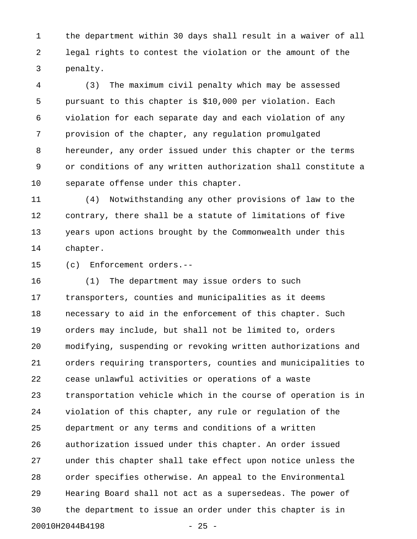1 the department within 30 days shall result in a waiver of all 2 legal rights to contest the violation or the amount of the 3 penalty.

4 (3) The maximum civil penalty which may be assessed 5 pursuant to this chapter is \$10,000 per violation. Each 6 violation for each separate day and each violation of any 7 provision of the chapter, any regulation promulgated 8 hereunder, any order issued under this chapter or the terms 9 or conditions of any written authorization shall constitute a 10 separate offense under this chapter.

11 (4) Notwithstanding any other provisions of law to the 12 contrary, there shall be a statute of limitations of five 13 years upon actions brought by the Commonwealth under this 14 chapter.

15 (c) Enforcement orders.--

16 (1) The department may issue orders to such 17 transporters, counties and municipalities as it deems 18 necessary to aid in the enforcement of this chapter. Such 19 orders may include, but shall not be limited to, orders 20 modifying, suspending or revoking written authorizations and 21 orders requiring transporters, counties and municipalities to 22 cease unlawful activities or operations of a waste 23 transportation vehicle which in the course of operation is in 24 violation of this chapter, any rule or regulation of the 25 department or any terms and conditions of a written 26 authorization issued under this chapter. An order issued 27 under this chapter shall take effect upon notice unless the 28 order specifies otherwise. An appeal to the Environmental 29 Hearing Board shall not act as a supersedeas. The power of 30 the department to issue an order under this chapter is in 20010H2044B4198 - 25 -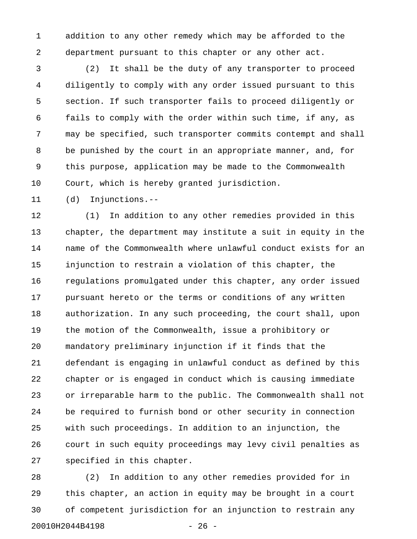1 addition to any other remedy which may be afforded to the 2 department pursuant to this chapter or any other act.

3 (2) It shall be the duty of any transporter to proceed 4 diligently to comply with any order issued pursuant to this 5 section. If such transporter fails to proceed diligently or 6 fails to comply with the order within such time, if any, as 7 may be specified, such transporter commits contempt and shall 8 be punished by the court in an appropriate manner, and, for 9 this purpose, application may be made to the Commonwealth 10 Court, which is hereby granted jurisdiction.

11 (d) Injunctions.--

12 (1) In addition to any other remedies provided in this 13 chapter, the department may institute a suit in equity in the 14 name of the Commonwealth where unlawful conduct exists for an 15 injunction to restrain a violation of this chapter, the 16 regulations promulgated under this chapter, any order issued 17 pursuant hereto or the terms or conditions of any written 18 authorization. In any such proceeding, the court shall, upon 19 the motion of the Commonwealth, issue a prohibitory or 20 mandatory preliminary injunction if it finds that the 21 defendant is engaging in unlawful conduct as defined by this 22 chapter or is engaged in conduct which is causing immediate 23 or irreparable harm to the public. The Commonwealth shall not 24 be required to furnish bond or other security in connection 25 with such proceedings. In addition to an injunction, the 26 court in such equity proceedings may levy civil penalties as 27 specified in this chapter.

28 (2) In addition to any other remedies provided for in 29 this chapter, an action in equity may be brought in a court 30 of competent jurisdiction for an injunction to restrain any 20010H2044B4198 - 26 -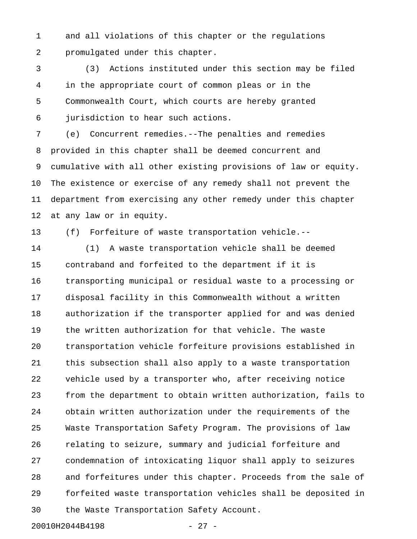1 and all violations of this chapter or the regulations 2 promulgated under this chapter.

3 (3) Actions instituted under this section may be filed 4 in the appropriate court of common pleas or in the 5 Commonwealth Court, which courts are hereby granted 6 jurisdiction to hear such actions.

7 (e) Concurrent remedies.--The penalties and remedies 8 provided in this chapter shall be deemed concurrent and 9 cumulative with all other existing provisions of law or equity. 10 The existence or exercise of any remedy shall not prevent the 11 department from exercising any other remedy under this chapter 12 at any law or in equity.

13 (f) Forfeiture of waste transportation vehicle.--

14 (1) A waste transportation vehicle shall be deemed 15 contraband and forfeited to the department if it is 16 transporting municipal or residual waste to a processing or 17 disposal facility in this Commonwealth without a written 18 authorization if the transporter applied for and was denied 19 the written authorization for that vehicle. The waste 20 transportation vehicle forfeiture provisions established in 21 this subsection shall also apply to a waste transportation 22 vehicle used by a transporter who, after receiving notice 23 from the department to obtain written authorization, fails to 24 obtain written authorization under the requirements of the 25 Waste Transportation Safety Program. The provisions of law 26 relating to seizure, summary and judicial forfeiture and 27 condemnation of intoxicating liquor shall apply to seizures 28 and forfeitures under this chapter. Proceeds from the sale of 29 forfeited waste transportation vehicles shall be deposited in 30 the Waste Transportation Safety Account.

20010H2044B4198 - 27 -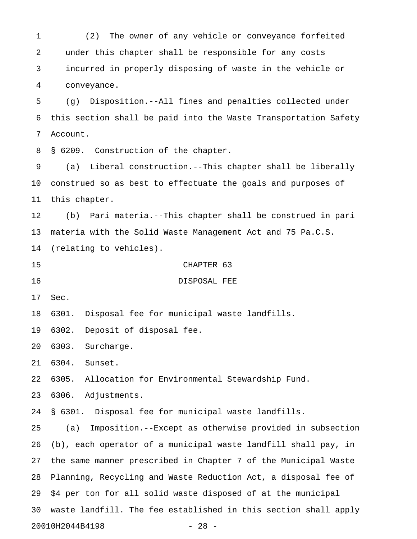1 (2) The owner of any vehicle or conveyance forfeited 2 under this chapter shall be responsible for any costs 3 incurred in properly disposing of waste in the vehicle or 4 conveyance. 5 (g) Disposition.--All fines and penalties collected under 6 this section shall be paid into the Waste Transportation Safety 7 Account. 8 § 6209. Construction of the chapter. 9 (a) Liberal construction.--This chapter shall be liberally 10 construed so as best to effectuate the goals and purposes of 11 this chapter. 12 (b) Pari materia.--This chapter shall be construed in pari 13 materia with the Solid Waste Management Act and 75 Pa.C.S. 14 (relating to vehicles). 15 CHAPTER 63 16 DISPOSAL FEE 17 Sec. 18 6301. Disposal fee for municipal waste landfills. 19 6302. Deposit of disposal fee. 20 6303. Surcharge. 21 6304. Sunset. 22 6305. Allocation for Environmental Stewardship Fund. 23 6306. Adjustments. 24 § 6301. Disposal fee for municipal waste landfills. 25 (a) Imposition.--Except as otherwise provided in subsection 26 (b), each operator of a municipal waste landfill shall pay, in 27 the same manner prescribed in Chapter 7 of the Municipal Waste 28 Planning, Recycling and Waste Reduction Act, a disposal fee of 29 \$4 per ton for all solid waste disposed of at the municipal 30 waste landfill. The fee established in this section shall apply

20010H2044B4198 - 28 -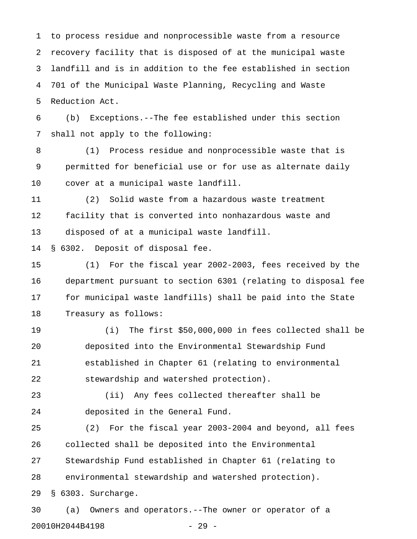1 to process residue and nonprocessible waste from a resource 2 recovery facility that is disposed of at the municipal waste 3 landfill and is in addition to the fee established in section 4 701 of the Municipal Waste Planning, Recycling and Waste 5 Reduction Act.

6 (b) Exceptions.--The fee established under this section 7 shall not apply to the following:

8 (1) Process residue and nonprocessible waste that is 9 permitted for beneficial use or for use as alternate daily 10 cover at a municipal waste landfill.

11 (2) Solid waste from a hazardous waste treatment 12 facility that is converted into nonhazardous waste and 13 disposed of at a municipal waste landfill.

14 § 6302. Deposit of disposal fee.

15 (1) For the fiscal year 2002-2003, fees received by the 16 department pursuant to section 6301 (relating to disposal fee 17 for municipal waste landfills) shall be paid into the State 18 Treasury as follows:

19 (i) The first \$50,000,000 in fees collected shall be 20 deposited into the Environmental Stewardship Fund 21 established in Chapter 61 (relating to environmental 22 stewardship and watershed protection).

23 (ii) Any fees collected thereafter shall be 24 deposited in the General Fund.

25 (2) For the fiscal year 2003-2004 and beyond, all fees 26 collected shall be deposited into the Environmental 27 Stewardship Fund established in Chapter 61 (relating to 28 environmental stewardship and watershed protection). 29 § 6303. Surcharge.

30 (a) Owners and operators.--The owner or operator of a 20010H2044B4198 - 29 -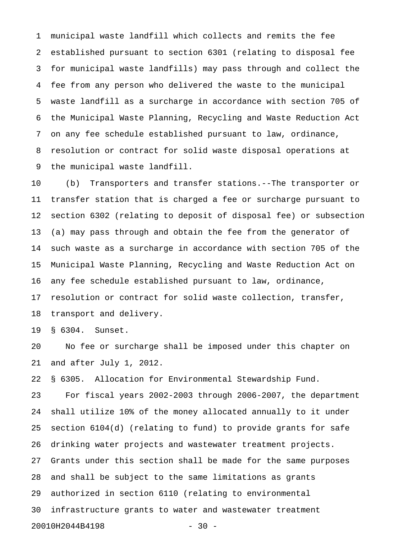1 municipal waste landfill which collects and remits the fee 2 established pursuant to section 6301 (relating to disposal fee 3 for municipal waste landfills) may pass through and collect the 4 fee from any person who delivered the waste to the municipal 5 waste landfill as a surcharge in accordance with section 705 of 6 the Municipal Waste Planning, Recycling and Waste Reduction Act 7 on any fee schedule established pursuant to law, ordinance, 8 resolution or contract for solid waste disposal operations at 9 the municipal waste landfill.

10 (b) Transporters and transfer stations.--The transporter or 11 transfer station that is charged a fee or surcharge pursuant to 12 section 6302 (relating to deposit of disposal fee) or subsection 13 (a) may pass through and obtain the fee from the generator of 14 such waste as a surcharge in accordance with section 705 of the 15 Municipal Waste Planning, Recycling and Waste Reduction Act on 16 any fee schedule established pursuant to law, ordinance, 17 resolution or contract for solid waste collection, transfer, 18 transport and delivery.

19 § 6304. Sunset.

20 No fee or surcharge shall be imposed under this chapter on 21 and after July 1, 2012.

22 § 6305. Allocation for Environmental Stewardship Fund. 23 For fiscal years 2002-2003 through 2006-2007, the department 24 shall utilize 10% of the money allocated annually to it under 25 section 6104(d) (relating to fund) to provide grants for safe 26 drinking water projects and wastewater treatment projects. 27 Grants under this section shall be made for the same purposes 28 and shall be subject to the same limitations as grants 29 authorized in section 6110 (relating to environmental 30 infrastructure grants to water and wastewater treatment 20010H2044B4198 - 30 -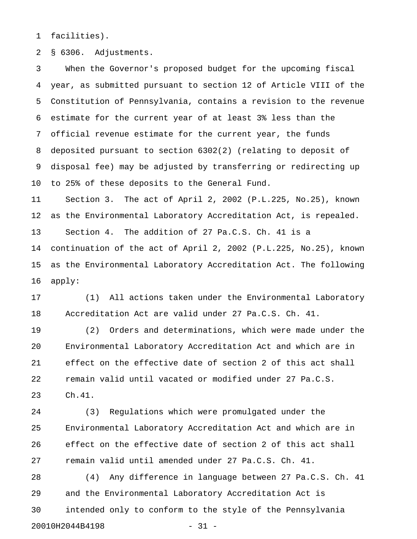1 facilities).

2 § 6306. Adjustments.

3 When the Governor's proposed budget for the upcoming fiscal 4 year, as submitted pursuant to section 12 of Article VIII of the 5 Constitution of Pennsylvania, contains a revision to the revenue 6 estimate for the current year of at least 3% less than the 7 official revenue estimate for the current year, the funds 8 deposited pursuant to section 6302(2) (relating to deposit of 9 disposal fee) may be adjusted by transferring or redirecting up 10 to 25% of these deposits to the General Fund.

11 Section 3. The act of April 2, 2002 (P.L.225, No.25), known 12 as the Environmental Laboratory Accreditation Act, is repealed. 13 Section 4. The addition of 27 Pa.C.S. Ch. 41 is a 14 continuation of the act of April 2, 2002 (P.L.225, No.25), known 15 as the Environmental Laboratory Accreditation Act. The following 16 apply:

17 (1) All actions taken under the Environmental Laboratory 18 Accreditation Act are valid under 27 Pa.C.S. Ch. 41.

19 (2) Orders and determinations, which were made under the 20 Environmental Laboratory Accreditation Act and which are in 21 effect on the effective date of section 2 of this act shall 22 remain valid until vacated or modified under 27 Pa.C.S. 23 Ch.41.

24 (3) Regulations which were promulgated under the 25 Environmental Laboratory Accreditation Act and which are in 26 effect on the effective date of section 2 of this act shall 27 remain valid until amended under 27 Pa.C.S. Ch. 41.

28 (4) Any difference in language between 27 Pa.C.S. Ch. 41 29 and the Environmental Laboratory Accreditation Act is 30 intended only to conform to the style of the Pennsylvania 20010H2044B4198 - 31 -